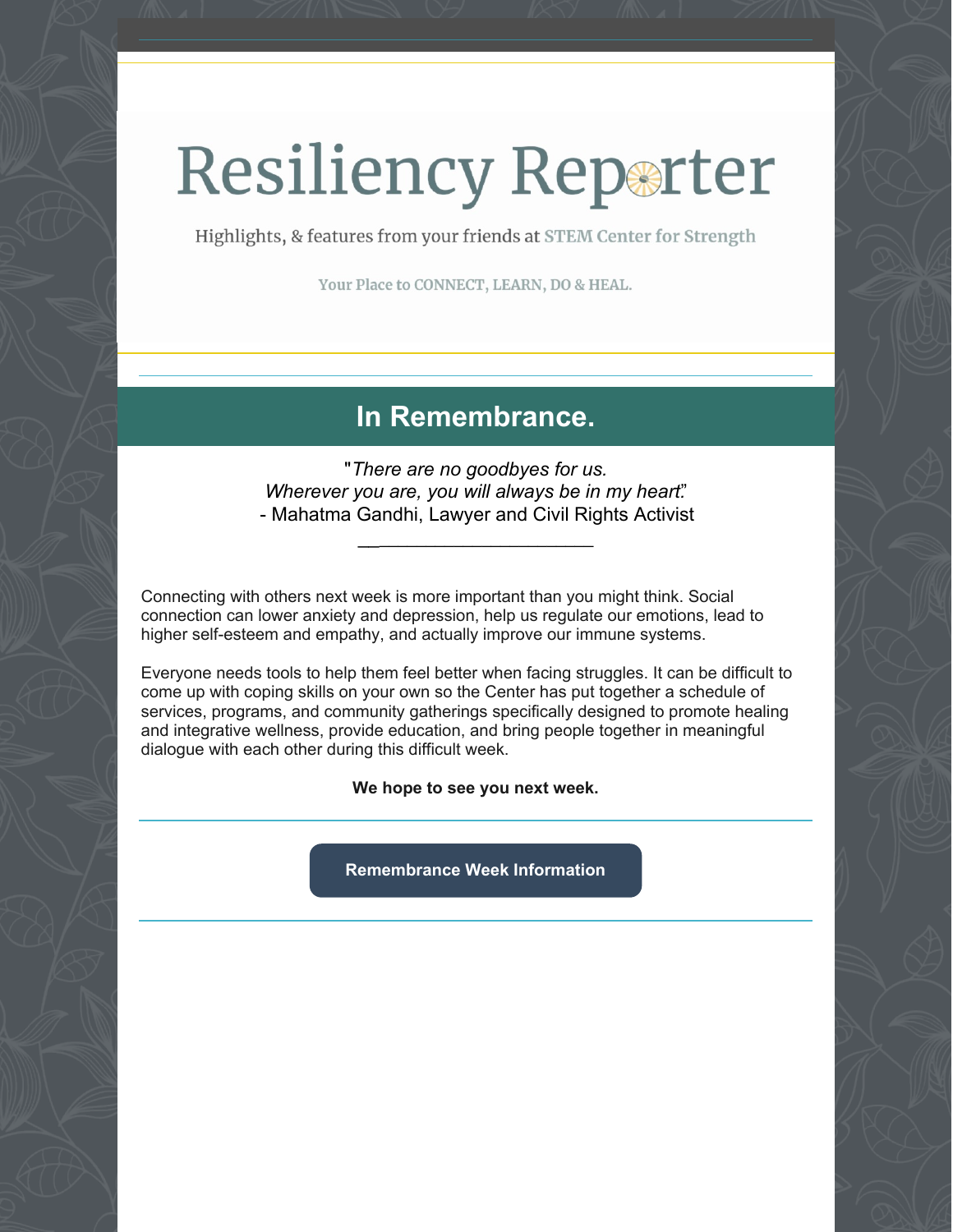# Resiliency Reparter

Highlights, & features from your friends at STEM Center for Strength

Your Place to CONNECT, LEARN, DO & HEAL.

## **In Remembrance.**

"*There are no goodbyes for us. Wherever you are, you will always be in my heart.*" - Mahatma Gandhi, Lawyer and Civil Rights Activist

\_\_\_\_\_\_\_\_\_\_\_\_\_\_\_\_\_\_\_\_\_\_\_\_\_

Connecting with others next week is more important than you might think. Social connection can lower anxiety and depression, help us regulate our emotions, lead to higher self-esteem and empathy, and actually improve our immune systems.

Everyone needs tools to help them feel better when facing struggles. It can be difficult to come up with coping skills on your own so the Center has put together a schedule of services, programs, and community gatherings specifically designed to promote healing and integrative wellness, provide education, and bring people together in meaningful dialogue with each other during this difficult week.

**We hope to see you next week.**

**[Remembrance](https://www.stemcenterforstrength.org/may-7-2022/) Week Information**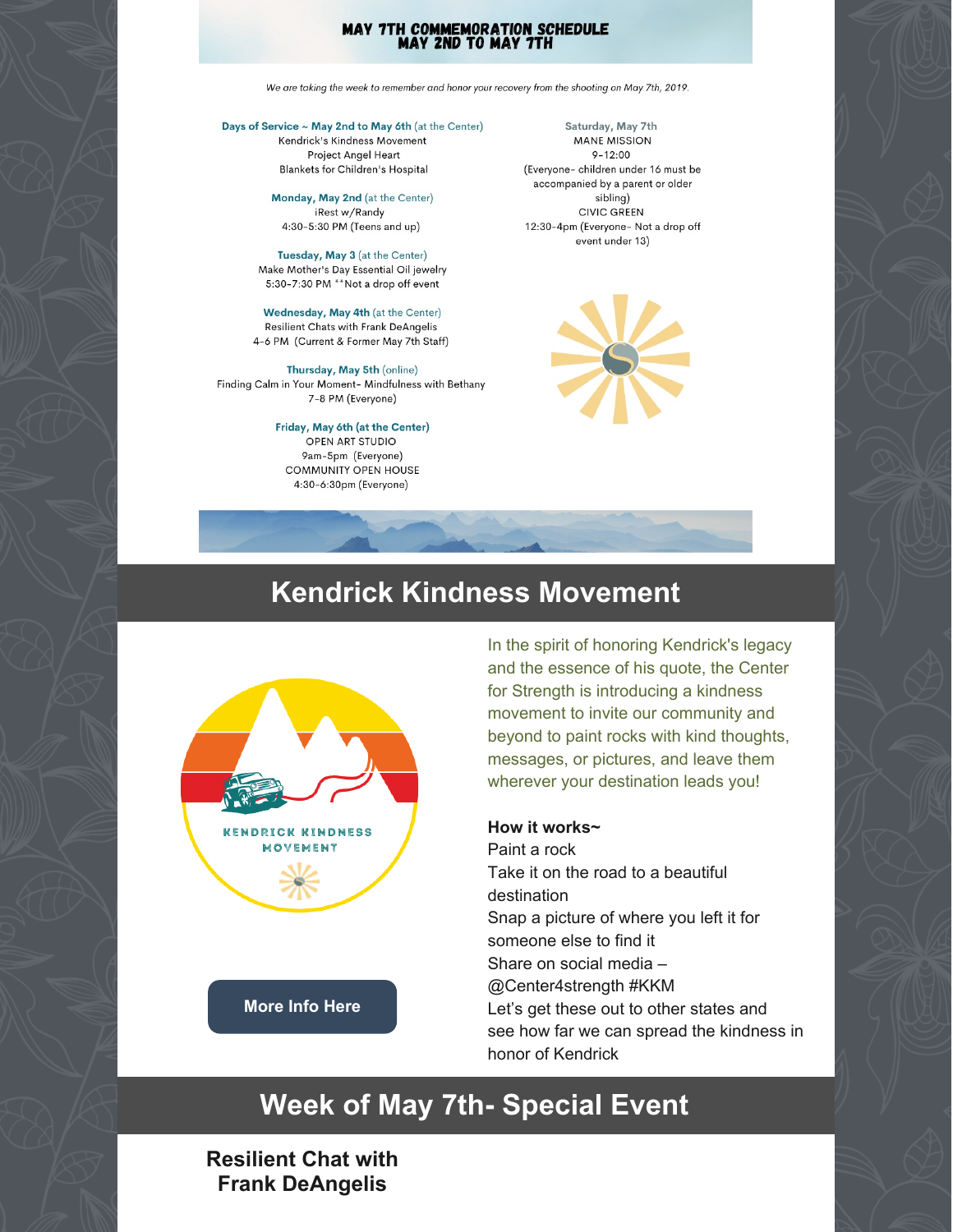#### **MAY 7TH COMMEMORATION SCHEDULE MAY 2ND TO MAY 7TH**

We are taking the week to remember and honor your recovery from the shooting on May 7th, 2019.

Days of Service ~ May 2nd to May 6th (at the Center) Kendrick's Kindness Movement **Project Angel Heart** Blankets for Children's Hospital

> Monday, May 2nd (at the Center) iRest w/Randy 4:30-5:30 PM (Teens and up)

Tuesday, May 3 (at the Center) Make Mother's Day Essential Oil jewelry 5:30-7:30 PM \*\*Not a drop off event

Wednesday, May 4th (at the Center) **Resilient Chats with Frank DeAngelis** 4-6 PM (Current & Former May 7th Staff)

Thursday, May 5th (online) Finding Calm in Your Moment- Mindfulness with Bethany 7-8 PM (Everyone)

> Friday, May 6th (at the Center) OPEN ART STUDIO 9am-5pm (Everyone) **COMMUNITY OPEN HOUSE** 4:30-6:30pm (Everyone)

Saturday, May 7th **MANE MISSION**  $9 - 12.00$ (Everyone- children under 16 must be accompanied by a parent or older sibling) CIVIC GREEN 12:30-4pm (Everyone- Not a drop off event under 13)



# **Kendrick Kindness Movement**



In the spirit of honoring Kendrick's legacy and the essence of his quote, the Center for Strength is introducing a kindness movement to invite our community and beyond to paint rocks with kind thoughts, messages, or pictures, and leave them wherever your destination leads you!

#### **How it works~**

Paint a rock Take it on the road to a beautiful destination Snap a picture of where you left it for someone else to find it Share on social media – @Center4strength #KKM Let's get these out to other states and see how far we can spread the kindness in honor of Kendrick

# **Week of May 7th- Special Event**

## **Resilient Chat with Frank DeAngelis**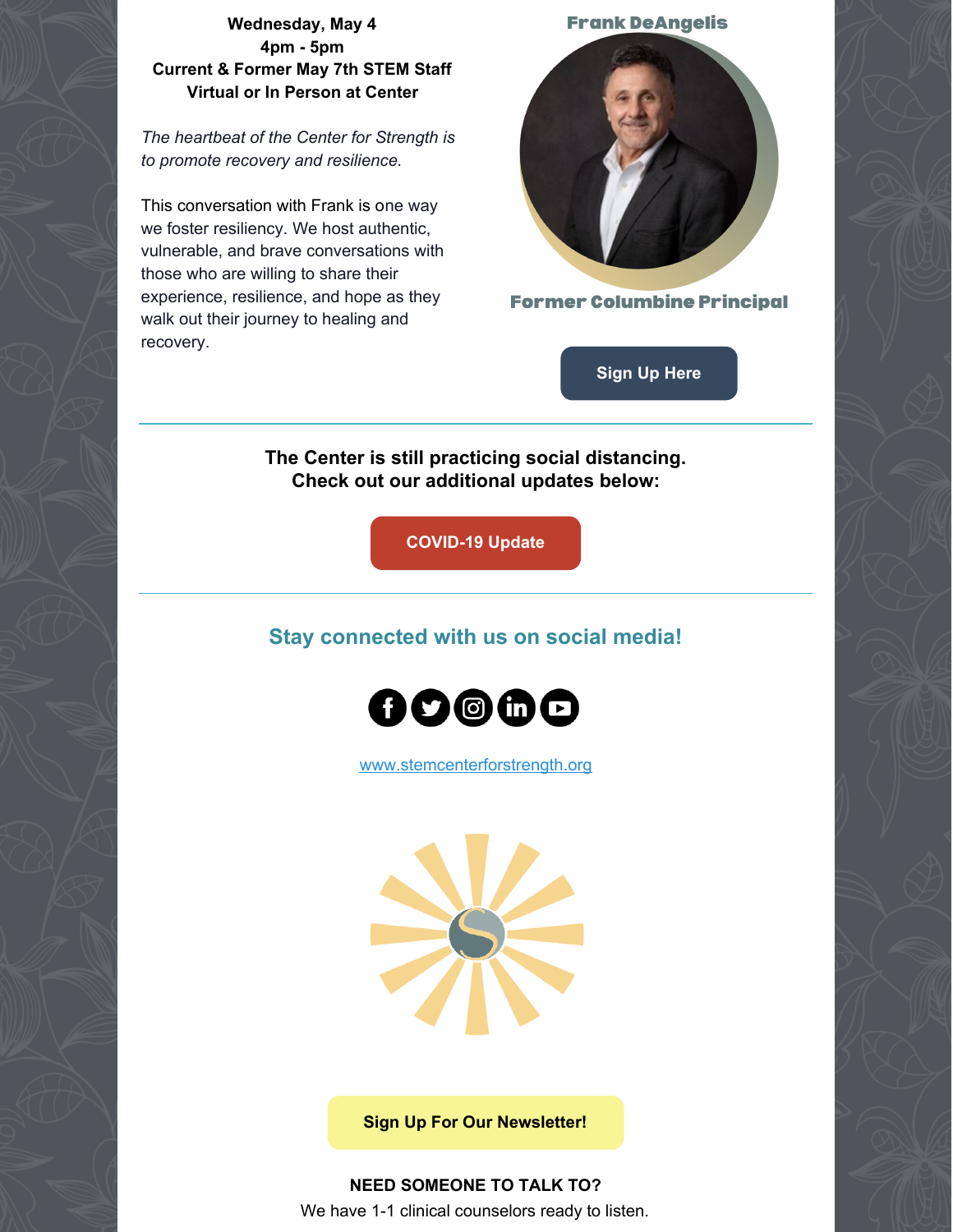### **Wednesday, May 4 4pm - 5pm Current & Former May 7th STEM Staff Virtual or In Person at Center**

*The heartbeat of the Center for Strength is to promote recovery and resilience.*

This conversation with Frank is one way we foster resiliency. We host authentic, vulnerable, and brave conversations with those who are willing to share their experience, resilience, and hope as they walk out their journey to healing and recovery.





**Former Columbine Principal** 

**[Sign](https://www.signupgenius.com/go/10c0c48aaac2daafec16-resilient1) Up Here**

**The Center is still practicing social distancing. Check out our additional updates below:**

**[COVID-19](https://www.stemcenterforstrength.org/wp-content/uploads/2021/08/COVID-Website-post-2.png) Update**

## **Stay connected with us on social media!**



[www.stemcenterforstrength.org](http://www.stemcenterforstrength.org)



**Sign Up For Our [Newsletter!](https://forms.gle/Gi5xR34iR5zsiz4U7)**

**NEED SOMEONE TO TALK TO?** We have 1-1 clinical counselors ready to listen.